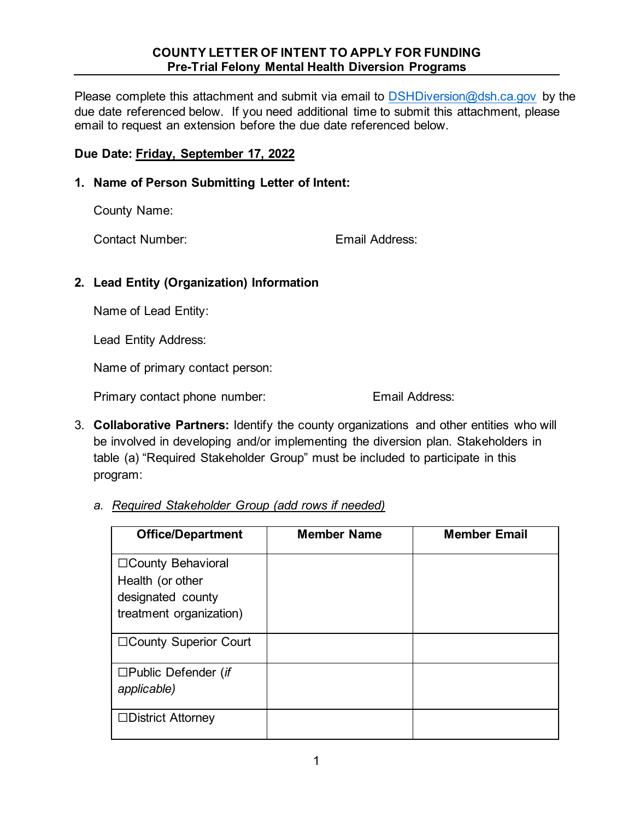## **COUNTY LETTER OF INTENT TO APPLY FOR FUNDING Pre-Trial Felony Mental Health Diversion Programs**

Please complete this attachment and submit via email to **DSHDiversion@dsh.ca.gov** by the due date referenced below. If you need additional time to submit this attachment, please email to request an extension before the due date referenced below. date referenced below.

## **Due Date: Friday, September 17, 2022**

**1. Name of Person Submitting Letter of Intent:**

County Name:

Contact Number: Email Address:

## **2. Lead Entity (Organization) Information**

Name of Lead Entity:

Lead Entity Address:

Name of primary contact person:

Primary contact phone number: Email Address:

- 3. **Collaborative Partners:** Identify the county organizations and other entities who will be involved in developing and/or implementing the diversion plan. Stakeholders in table (a) "Required Stakeholder Group" must be included to participate in this program:
	- *a. Required Stakeholder Group (add rows if needed)*

| <b>Office/Department</b>                                                                | <b>Member Name</b> | <b>Member Email</b> |
|-----------------------------------------------------------------------------------------|--------------------|---------------------|
| □ County Behavioral<br>Health (or other<br>designated county<br>treatment organization) |                    |                     |
| □County Superior Court                                                                  |                    |                     |
| $\square$ Public Defender (if<br>applicable)                                            |                    |                     |
| $\Box$ District Attorney                                                                |                    |                     |